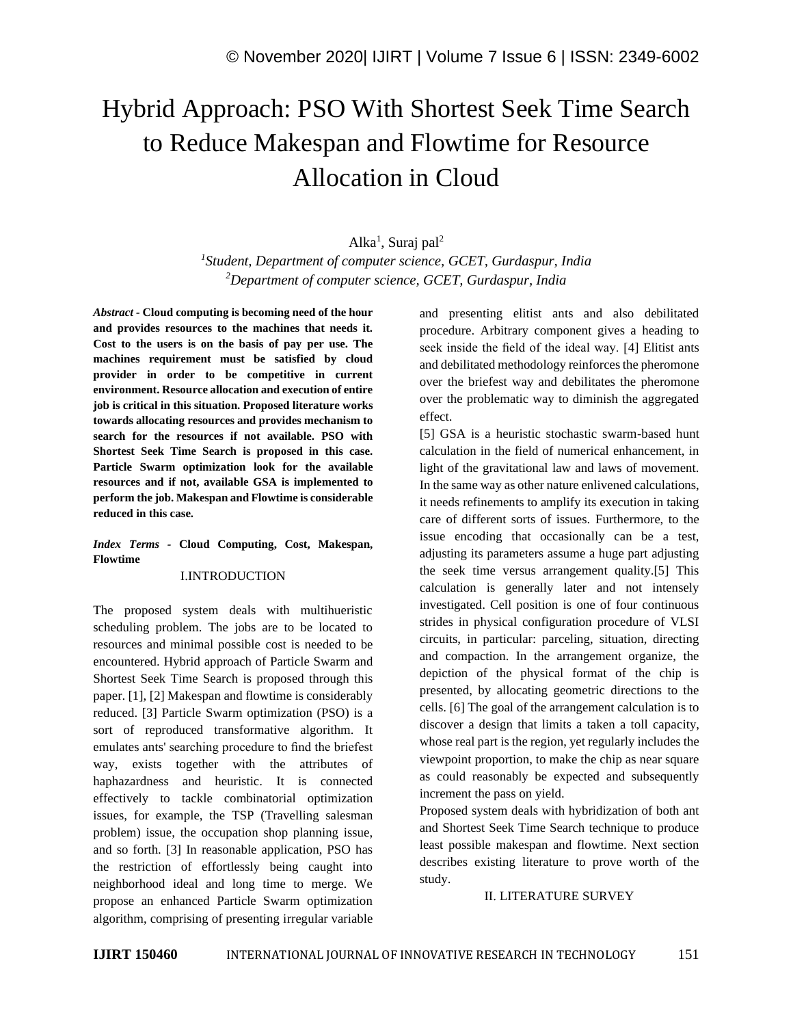# Hybrid Approach: PSO With Shortest Seek Time Search to Reduce Makespan and Flowtime for Resource Allocation in Cloud

Alka<sup>1</sup>, Suraj pal<sup>2</sup>

*1 Student, Department of computer science, GCET, Gurdaspur, India <sup>2</sup>Department of computer science, GCET, Gurdaspur, India*

*Abstract -* **Cloud computing is becoming need of the hour and provides resources to the machines that needs it. Cost to the users is on the basis of pay per use. The machines requirement must be satisfied by cloud provider in order to be competitive in current environment. Resource allocation and execution of entire job is critical in this situation. Proposed literature works towards allocating resources and provides mechanism to search for the resources if not available. PSO with Shortest Seek Time Search is proposed in this case. Particle Swarm optimization look for the available resources and if not, available GSA is implemented to perform the job. Makespan and Flowtime is considerable reduced in this case.** 

# *Index Terms -* **Cloud Computing, Cost, Makespan, Flowtime**

# I.INTRODUCTION

The proposed system deals with multihueristic scheduling problem. The jobs are to be located to resources and minimal possible cost is needed to be encountered. Hybrid approach of Particle Swarm and Shortest Seek Time Search is proposed through this paper. [1], [2] Makespan and flowtime is considerably reduced. [3] Particle Swarm optimization (PSO) is a sort of reproduced transformative algorithm. It emulates ants' searching procedure to find the briefest way, exists together with the attributes of haphazardness and heuristic. It is connected effectively to tackle combinatorial optimization issues, for example, the TSP (Travelling salesman problem) issue, the occupation shop planning issue, and so forth. [3] In reasonable application, PSO has the restriction of effortlessly being caught into neighborhood ideal and long time to merge. We propose an enhanced Particle Swarm optimization algorithm, comprising of presenting irregular variable and presenting elitist ants and also debilitated procedure. Arbitrary component gives a heading to seek inside the field of the ideal way. [4] Elitist ants and debilitated methodology reinforces the pheromone over the briefest way and debilitates the pheromone over the problematic way to diminish the aggregated effect.

[5] GSA is a heuristic stochastic swarm-based hunt calculation in the field of numerical enhancement, in light of the gravitational law and laws of movement. In the same way as other nature enlivened calculations, it needs refinements to amplify its execution in taking care of different sorts of issues. Furthermore, to the issue encoding that occasionally can be a test, adjusting its parameters assume a huge part adjusting the seek time versus arrangement quality.[5] This calculation is generally later and not intensely investigated. Cell position is one of four continuous strides in physical configuration procedure of VLSI circuits, in particular: parceling, situation, directing and compaction. In the arrangement organize, the depiction of the physical format of the chip is presented, by allocating geometric directions to the cells. [6] The goal of the arrangement calculation is to discover a design that limits a taken a toll capacity, whose real part is the region, yet regularly includes the viewpoint proportion, to make the chip as near square as could reasonably be expected and subsequently increment the pass on yield.

Proposed system deals with hybridization of both ant and Shortest Seek Time Search technique to produce least possible makespan and flowtime. Next section describes existing literature to prove worth of the study.

### II. LITERATURE SURVEY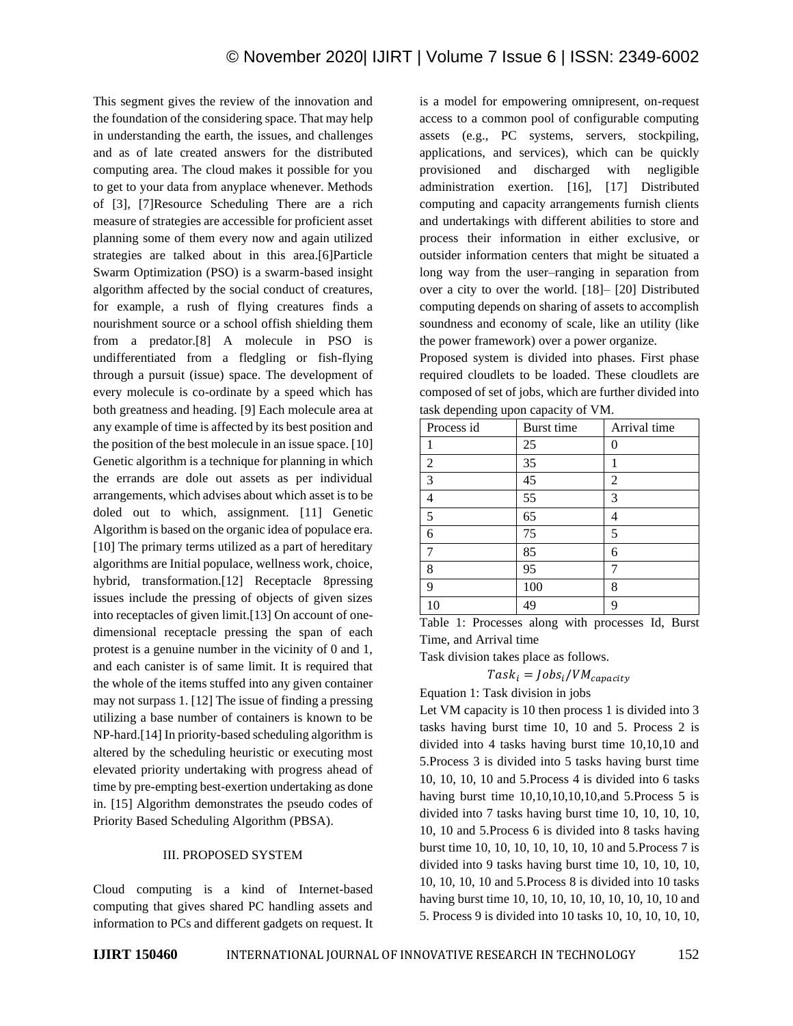This segment gives the review of the innovation and the foundation of the considering space. That may help in understanding the earth, the issues, and challenges and as of late created answers for the distributed computing area. The cloud makes it possible for you to get to your data from anyplace whenever. Methods of [3], [7]Resource Scheduling There are a rich measure of strategies are accessible for proficient asset planning some of them every now and again utilized strategies are talked about in this area.[6]Particle Swarm Optimization (PSO) is a swarm-based insight algorithm affected by the social conduct of creatures, for example, a rush of flying creatures finds a nourishment source or a school offish shielding them from a predator.[8] A molecule in PSO is undifferentiated from a fledgling or fish-flying through a pursuit (issue) space. The development of every molecule is co-ordinate by a speed which has both greatness and heading. [9] Each molecule area at any example of time is affected by its best position and the position of the best molecule in an issue space. [10] Genetic algorithm is a technique for planning in which the errands are dole out assets as per individual arrangements, which advises about which asset is to be doled out to which, assignment. [11] Genetic Algorithm is based on the organic idea of populace era. [10] The primary terms utilized as a part of hereditary algorithms are Initial populace, wellness work, choice, hybrid, transformation.[12] Receptacle 8pressing issues include the pressing of objects of given sizes into receptacles of given limit.[13] On account of onedimensional receptacle pressing the span of each protest is a genuine number in the vicinity of 0 and 1, and each canister is of same limit. It is required that the whole of the items stuffed into any given container may not surpass 1. [12] The issue of finding a pressing utilizing a base number of containers is known to be NP-hard.[14] In priority-based scheduling algorithm is altered by the scheduling heuristic or executing most elevated priority undertaking with progress ahead of time by pre-empting best-exertion undertaking as done in. [15] Algorithm demonstrates the pseudo codes of Priority Based Scheduling Algorithm (PBSA).

# III. PROPOSED SYSTEM

Cloud computing is a kind of Internet-based computing that gives shared PC handling assets and information to PCs and different gadgets on request. It is a model for empowering omnipresent, on-request access to a common pool of configurable computing assets (e.g., PC systems, servers, stockpiling, applications, and services), which can be quickly provisioned and discharged with negligible administration exertion. [16], [17] Distributed computing and capacity arrangements furnish clients and undertakings with different abilities to store and process their information in either exclusive, or outsider information centers that might be situated a long way from the user–ranging in separation from over a city to over the world. [18]– [20] Distributed computing depends on sharing of assets to accomplish soundness and economy of scale, like an utility (like the power framework) over a power organize.

Proposed system is divided into phases. First phase required cloudlets to be loaded. These cloudlets are composed of set of jobs, which are further divided into task depending upon capacity of VM.

| Process id     | Burst time | Arrival time   |
|----------------|------------|----------------|
|                | 25         | 0              |
| $\overline{c}$ | 35         | 1              |
| 3              | 45         | $\overline{c}$ |
| 4              | 55         | 3              |
| 5              | 65         | 4              |
| 6              | 75         | 5              |
| 7              | 85         | 6              |
| 8              | 95         | 7              |
| 9              | 100        | 8              |
| 10             | 49         | 9              |

Table 1: Processes along with processes Id, Burst Time, and Arrival time

Task division takes place as follows.

 $Task_i = Jobs_i/VM_{capacity}$ 

Equation 1: Task division in jobs

Let VM capacity is 10 then process 1 is divided into 3 tasks having burst time 10, 10 and 5. Process 2 is divided into 4 tasks having burst time 10,10,10 and 5.Process 3 is divided into 5 tasks having burst time 10, 10, 10, 10 and 5.Process 4 is divided into 6 tasks having burst time 10,10,10,10,10,and 5.Process 5 is divided into 7 tasks having burst time 10, 10, 10, 10, 10, 10 and 5.Process 6 is divided into 8 tasks having burst time 10, 10, 10, 10, 10, 10, 10 and 5.Process 7 is divided into 9 tasks having burst time 10, 10, 10, 10, 10, 10, 10, 10 and 5.Process 8 is divided into 10 tasks having burst time 10, 10, 10, 10, 10, 10, 10, 10, 10 and 5. Process 9 is divided into 10 tasks 10, 10, 10, 10, 10,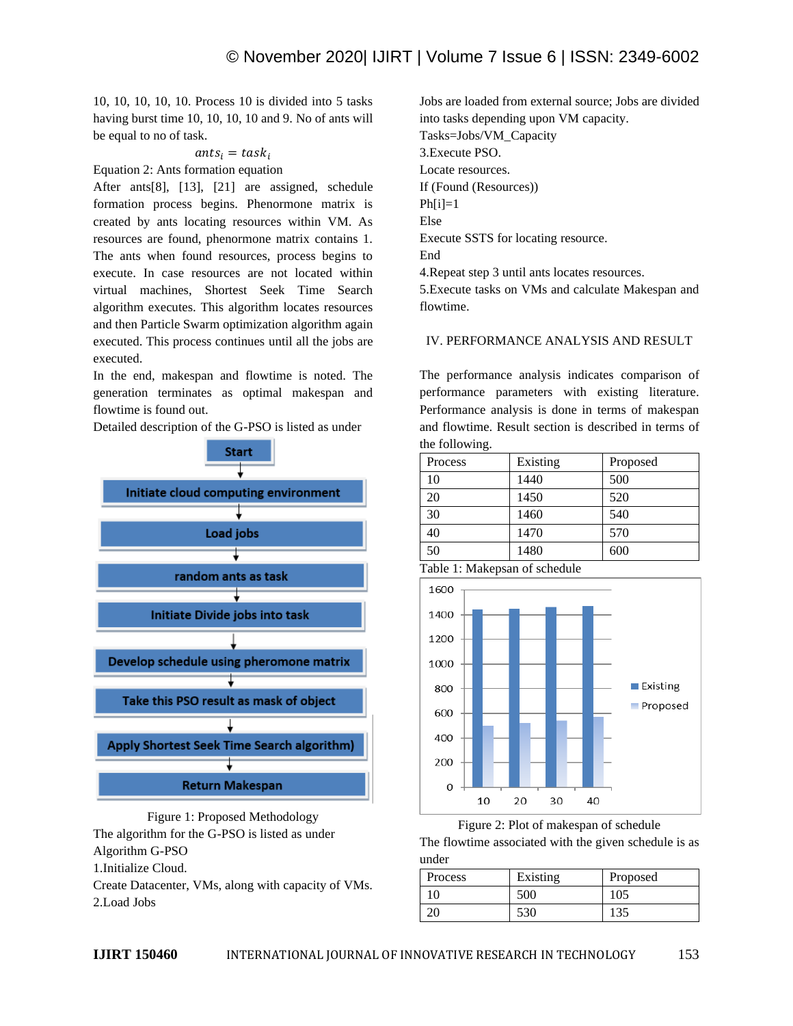10, 10, 10, 10, 10. Process 10 is divided into 5 tasks having burst time 10, 10, 10, 10 and 9. No of ants will be equal to no of task.

## $ants_i = task_i$

Equation 2: Ants formation equation

After ants[8], [13], [21] are assigned, schedule formation process begins. Phenormone matrix is created by ants locating resources within VM. As resources are found, phenormone matrix contains 1. The ants when found resources, process begins to execute. In case resources are not located within virtual machines, Shortest Seek Time Search algorithm executes. This algorithm locates resources and then Particle Swarm optimization algorithm again executed. This process continues until all the jobs are executed.

In the end, makespan and flowtime is noted. The generation terminates as optimal makespan and flowtime is found out.

Detailed description of the G-PSO is listed as under



Figure 1: Proposed Methodology The algorithm for the G-PSO is listed as under Algorithm G-PSO 1.Initialize Cloud. Create Datacenter, VMs, along with capacity of VMs. 2.Load Jobs

Jobs are loaded from external source; Jobs are divided into tasks depending upon VM capacity. Tasks=Jobs/VM\_Capacity 3.Execute PSO. Locate resources. If (Found (Resources))  $Ph[i]=1$ Else Execute SSTS for locating resource. End 4.Repeat step 3 until ants locates resources. 5.Execute tasks on VMs and calculate Makespan and

flowtime.

# IV. PERFORMANCE ANALYSIS AND RESULT

The performance analysis indicates comparison of performance parameters with existing literature. Performance analysis is done in terms of makespan and flowtime. Result section is described in terms of the following.

| Process | Existing | Proposed |
|---------|----------|----------|
| 10      | 1440     | 500      |
| 20      | 1450     | 520      |
| 30      | 1460     | 540      |
| 40      | 1470     | 570      |
| 50      | 1480     | 600      |

Table 1: Makepsan of schedule



Figure 2: Plot of makespan of schedule

The flowtime associated with the given schedule is as under

| Process | Existing | Proposed |
|---------|----------|----------|
| 10      | 500      | 105      |
|         | 530      | 135      |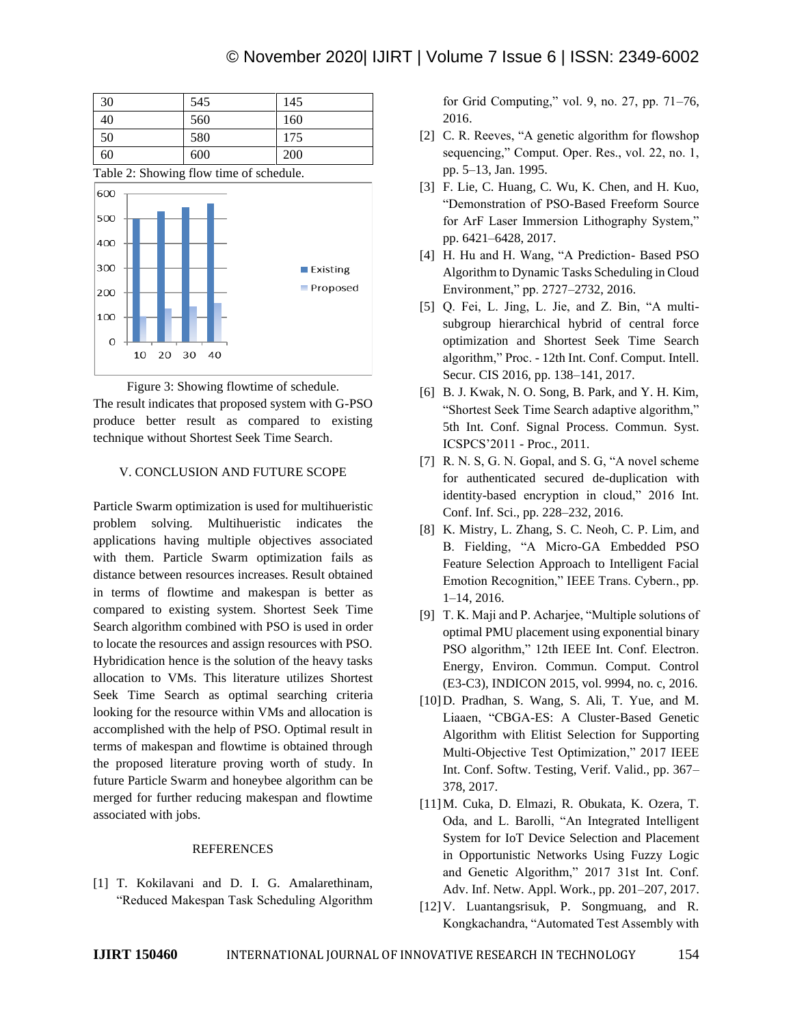| 30                                                                                         | 545 | 145 |
|--------------------------------------------------------------------------------------------|-----|-----|
| 40                                                                                         | 560 | 160 |
| 50                                                                                         | 580 | 175 |
| 60                                                                                         | 600 | 200 |
| $T = 11$ $A = 01$<br>$\sim$<br>$\mathcal{L}$<br>$\blacksquare$<br>$1 \quad 1$<br>$\cdot$ . |     |     |

Table 2: Showing flow time of schedule.



Figure 3: Showing flowtime of schedule. The result indicates that proposed system with G-PSO produce better result as compared to existing technique without Shortest Seek Time Search.

#### V. CONCLUSION AND FUTURE SCOPE

Particle Swarm optimization is used for multihueristic problem solving. Multihueristic indicates the applications having multiple objectives associated with them. Particle Swarm optimization fails as distance between resources increases. Result obtained in terms of flowtime and makespan is better as compared to existing system. Shortest Seek Time Search algorithm combined with PSO is used in order to locate the resources and assign resources with PSO. Hybridication hence is the solution of the heavy tasks allocation to VMs. This literature utilizes Shortest Seek Time Search as optimal searching criteria looking for the resource within VMs and allocation is accomplished with the help of PSO. Optimal result in terms of makespan and flowtime is obtained through the proposed literature proving worth of study. In future Particle Swarm and honeybee algorithm can be merged for further reducing makespan and flowtime associated with jobs.

#### REFERENCES

[1] T. Kokilavani and D. I. G. Amalarethinam, "Reduced Makespan Task Scheduling Algorithm

for Grid Computing," vol. 9, no. 27, pp. 71–76, 2016.

- [2] C. R. Reeves, "A genetic algorithm for flowshop sequencing," Comput. Oper. Res., vol. 22, no. 1, pp. 5–13, Jan. 1995.
- [3] F. Lie, C. Huang, C. Wu, K. Chen, and H. Kuo, "Demonstration of PSO-Based Freeform Source for ArF Laser Immersion Lithography System," pp. 6421–6428, 2017.
- [4] H. Hu and H. Wang, "A Prediction- Based PSO Algorithm to Dynamic Tasks Scheduling in Cloud Environment," pp. 2727–2732, 2016.
- [5] Q. Fei, L. Jing, L. Jie, and Z. Bin, "A multisubgroup hierarchical hybrid of central force optimization and Shortest Seek Time Search algorithm," Proc. - 12th Int. Conf. Comput. Intell. Secur. CIS 2016, pp. 138–141, 2017.
- [6] B. J. Kwak, N. O. Song, B. Park, and Y. H. Kim, "Shortest Seek Time Search adaptive algorithm," 5th Int. Conf. Signal Process. Commun. Syst. ICSPCS'2011 - Proc., 2011.
- [7] R. N. S, G. N. Gopal, and S. G, "A novel scheme for authenticated secured de-duplication with identity-based encryption in cloud," 2016 Int. Conf. Inf. Sci., pp. 228–232, 2016.
- [8] K. Mistry, L. Zhang, S. C. Neoh, C. P. Lim, and B. Fielding, "A Micro-GA Embedded PSO Feature Selection Approach to Intelligent Facial Emotion Recognition," IEEE Trans. Cybern., pp. 1–14, 2016.
- [9] T. K. Maji and P. Acharjee, "Multiple solutions of optimal PMU placement using exponential binary PSO algorithm," 12th IEEE Int. Conf. Electron. Energy, Environ. Commun. Comput. Control (E3-C3), INDICON 2015, vol. 9994, no. c, 2016.
- [10]D. Pradhan, S. Wang, S. Ali, T. Yue, and M. Liaaen, "CBGA-ES: A Cluster-Based Genetic Algorithm with Elitist Selection for Supporting Multi-Objective Test Optimization," 2017 IEEE Int. Conf. Softw. Testing, Verif. Valid., pp. 367– 378, 2017.
- [11]M. Cuka, D. Elmazi, R. Obukata, K. Ozera, T. Oda, and L. Barolli, "An Integrated Intelligent System for IoT Device Selection and Placement in Opportunistic Networks Using Fuzzy Logic and Genetic Algorithm," 2017 31st Int. Conf. Adv. Inf. Netw. Appl. Work., pp. 201–207, 2017.
- [12]V. Luantangsrisuk, P. Songmuang, and R. Kongkachandra, "Automated Test Assembly with